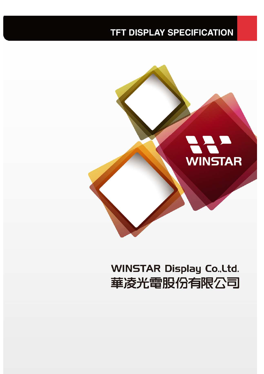### **TFT DISPLAY SPECIFICATION**



# **WINSTAR Display Co., Ltd.** 華凌光電股份有限公司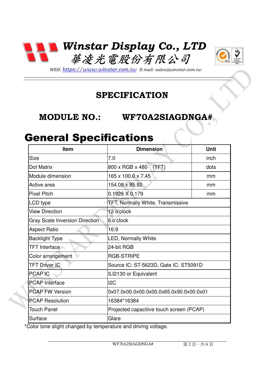



*WEB: https://www.winstar.com.tw E-mail: sales@winstar.com.tw*

#### **SPECIFICATION**

#### **MODULE NO.:**  $NO.:$  WF70A2SIAGDNGA#

### General Specifications

| <b>Item</b>                           | <b>Dimension</b>                         | Unit |  |
|---------------------------------------|------------------------------------------|------|--|
| <b>Size</b>                           | 7.0                                      | inch |  |
| Dot Matrix                            | 800 x RGB x 480<br>(TFT)                 | dots |  |
| Module dimension                      | 165 x 100.0 x 7.45                       | mm   |  |
| Active area                           | 154.08 x 85.92                           | mm   |  |
| <b>Pixel Pitch</b>                    | 0.1926 X 0.179                           | mm   |  |
| LCD type                              | TFT, Normally White, Transmissive        |      |  |
| <b>View Direction</b>                 | 12 o'clock                               |      |  |
| <b>Gray Scale Inversion Direction</b> | 6 o'clock                                |      |  |
| <b>Aspect Ratio</b>                   | 16:9                                     |      |  |
| <b>Backlight Type</b>                 | <b>LED, Normally White</b>               |      |  |
| <b>TFT</b> Interface                  | 24-bit RGB                               |      |  |
| Color arrangement                     | <b>RGB-STRIPE</b>                        |      |  |
| <b>TFT Driver IC</b>                  | Source IC: ST-5623D, Gate IC: ST5091D    |      |  |
| PCAP <sub>IC</sub>                    | ILI2130 or Equivalent                    |      |  |
| <b>PCAP</b> Interface                 | 12C                                      |      |  |
| <b>PCAP FW Version</b>                | 0x07.0x00.0x00.0x00.0x65.0x90.0x00.0x01  |      |  |
| <b>PCAP Resolution</b>                | 16384*16384                              |      |  |
| <b>Touch Panel</b>                    | Projected capacitive touch screen (PCAP) |      |  |
| Surface                               | Glare                                    |      |  |

\*Color tone slight changed by temperature and driving voltage.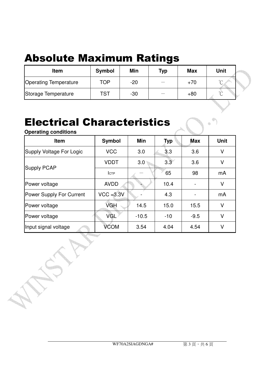## Absolute Maximum Ratings

| <b>Item</b>                  | Symbol | Min   | Typ | <b>Max</b> | <b>Unit</b> |  |
|------------------------------|--------|-------|-----|------------|-------------|--|
| <b>Operating Temperature</b> | TOP    | $-20$ |     | $+70$      |             |  |
| Storage Temperature          | TST    | $-30$ |     | $+80$      | $\sim$      |  |

# Electrical Characteristics

**Operating conditions** 

<u>i i s</u>

| <b>Item</b>                     | Symbol       | Min     | <b>Typ</b> | <b>Max</b>               | <b>Unit</b> |
|---------------------------------|--------------|---------|------------|--------------------------|-------------|
| Supply Voltage For Logic        | <b>VCC</b>   | 3.0     | 3.3        | 3.6                      | V           |
|                                 | <b>VDDT</b>  | 3.0     | 3.3        | 3.6                      | V           |
| <b>Supply PCAP</b>              | <b>ICTP</b>  |         | 65         | 98                       | mA          |
| Power voltage                   | <b>AVDD</b>  |         | 10.4       | $\blacksquare$           | V           |
| <b>Power Supply For Current</b> | $VCC = 3.3V$ |         | 4.3        | $\overline{\phantom{a}}$ | mA          |
| Power voltage                   | <b>VGH</b>   | 14.5    | 15.0       | 15.5                     | V           |
| Power voltage                   | <b>VGL</b>   | $-10.5$ | $-10$      | $-9.5$                   | $\vee$      |
| Input signal voltage            | <b>VCOM</b>  | 3.54    | 4.04       | 4.54                     | V           |

 $\qquad \qquad \oplus$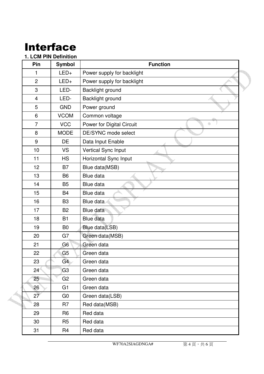# Interface

#### **1. LCM PIN Definition**

| Pin                     | <b>Symbol</b>  | <b>Function</b>                |  |
|-------------------------|----------------|--------------------------------|--|
| 1                       | $LED+$         | Power supply for backlight     |  |
| $\overline{2}$          | $LED+$         | Power supply for backlight     |  |
| 3                       | LED-           | Backlight ground               |  |
| $\overline{\mathbf{4}}$ | LED-           | Backlight ground               |  |
| 5                       | <b>GND</b>     | Power ground                   |  |
| 6                       | <b>VCOM</b>    | Common voltage                 |  |
| $\overline{7}$          | <b>VCC</b>     | Power for Digital Circuit<br>♠ |  |
| 8                       | <b>MODE</b>    | DE/SYNC mode select            |  |
| 9                       | <b>DE</b>      | Data Input Enable              |  |
| 10                      | <b>VS</b>      | Vertical Sync Input            |  |
| 11                      | <b>HS</b>      | Horizontal Sync Input          |  |
| 12                      | B <sub>7</sub> | Blue data(MSB)                 |  |
| 13                      | <b>B6</b>      | Blue data                      |  |
| 14                      | <b>B5</b>      | Blue data                      |  |
| 15                      | <b>B4</b>      | Blue data                      |  |
| 16                      | B <sub>3</sub> | Blue data                      |  |
| 17                      | <b>B2</b>      | Blue data                      |  |
| 18                      | <b>B1</b>      | Blue data                      |  |
| 19                      | B <sub>0</sub> | Blue data(LSB)                 |  |
| 20                      | G7             | Green data(MSB)                |  |
| 21                      | G <sub>6</sub> | Green data                     |  |
| 22                      | G <sub>5</sub> | Green data                     |  |
| 23                      | G4             | Green data                     |  |
| 24                      | G <sub>3</sub> | Green data                     |  |
| 25                      | G <sub>2</sub> | Green data                     |  |
| 26                      | G <sub>1</sub> | Green data                     |  |
| 27                      | G <sub>0</sub> | Green data(LSB)                |  |
| 28                      | R7             | Red data(MSB)                  |  |
| 29                      | R <sub>6</sub> | Red data                       |  |
| 30                      | R <sub>5</sub> | Red data                       |  |
| 31                      | R <sub>4</sub> | Red data                       |  |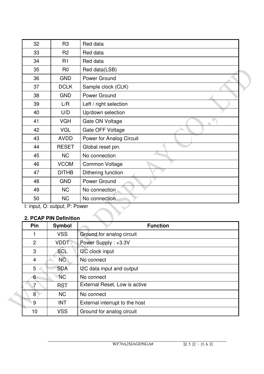| 32 | R <sub>3</sub>                | Red data                 |  |  |  |
|----|-------------------------------|--------------------------|--|--|--|
|    |                               |                          |  |  |  |
| 33 | R <sub>2</sub>                | Red data                 |  |  |  |
| 34 | R1                            | Red data                 |  |  |  |
| 35 | R <sub>0</sub>                | Red data(LSB)            |  |  |  |
| 36 | <b>GND</b>                    | Power Ground             |  |  |  |
| 37 | <b>DCLK</b>                   | Sample clock (CLK)       |  |  |  |
| 38 | <b>GND</b>                    | Power Ground             |  |  |  |
| 39 | L/R                           | Left / right selection   |  |  |  |
| 40 | U/D                           | Up/down selection        |  |  |  |
| 41 | <b>VGH</b>                    | Gate ON Voltage          |  |  |  |
| 42 | <b>VGL</b>                    | Gate OFF Voltage         |  |  |  |
| 43 | <b>AVDD</b>                   | Power for Analog Circuit |  |  |  |
| 44 | <b>RESET</b>                  | Global reset pin.        |  |  |  |
| 45 | <b>NC</b>                     | No connection            |  |  |  |
| 46 | <b>VCOM</b>                   | Common Voltage           |  |  |  |
| 47 | <b>DITHB</b>                  | Dithering function       |  |  |  |
| 48 | <b>GND</b>                    | Power Ground             |  |  |  |
| 49 | <b>NC</b>                     | No connection            |  |  |  |
| 50 | <b>NC</b>                     | No connection            |  |  |  |
|    | I: input, O: output, P: Power |                          |  |  |  |
|    |                               |                          |  |  |  |
|    | 2. PCAP PIN Definition        |                          |  |  |  |

#### **2. PCAP PIN Definition**

| Pin            | 2. PCAP PIN Definition<br><b>Symbol</b> | <b>Function</b>                |
|----------------|-----------------------------------------|--------------------------------|
|                | <b>VSS</b>                              | Ground for analog circuit      |
| 2              | <b>VDDT</b>                             | Power Supply: +3.3V            |
| 3              | <b>SCL</b>                              | I2C clock input                |
| $\overline{4}$ | N <sub>C</sub>                          | No connect                     |
| 5              | <b>SDA</b>                              | I2C data input and output      |
| 6              | <b>NC</b>                               | No connect                     |
|                | <b>RST</b>                              | External Reset, Low is active  |
| 8              | <b>NC</b>                               | No connect                     |
| 9              | <b>INT</b>                              | External interrupt to the host |
| 10             | <b>VSS</b>                              | Ground for analog circuit      |